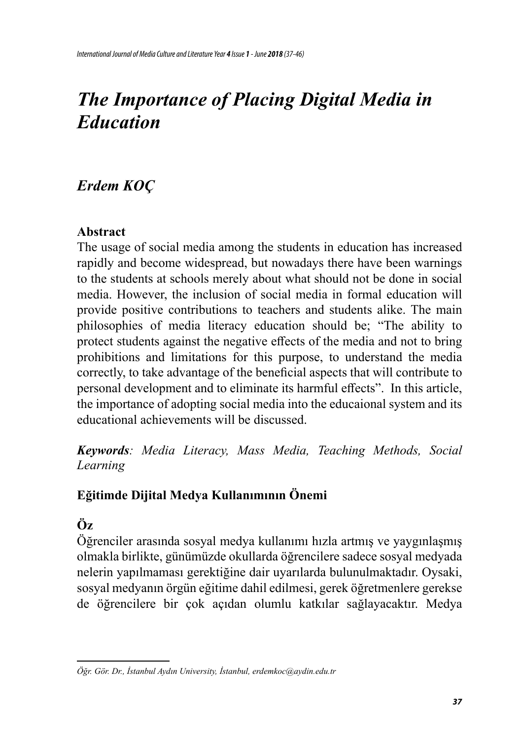# *The Importance of Placing Digital Media in Education*

### *Erdem KOÇ*

#### **Abstract**

The usage of social media among the students in education has increased rapidly and become widespread, but nowadays there have been warnings to the students at schools merely about what should not be done in social media. However, the inclusion of social media in formal education will provide positive contributions to teachers and students alike. The main philosophies of media literacy education should be; "The ability to protect students against the negative effects of the media and not to bring prohibitions and limitations for this purpose, to understand the media correctly, to take advantage of the beneficial aspects that will contribute to personal development and to eliminate its harmful effects". In this article, the importance of adopting social media into the educaional system and its educational achievements will be discussed.

*Keywords: Media Literacy, Mass Media, Teaching Methods, Social Learning*

### **Eğitimde Dijital Medya Kullanımının Önemi**

## **Öz**

Öğrenciler arasında sosyal medya kullanımı hızla artmış ve yaygınlaşmış olmakla birlikte, günümüzde okullarda öğrencilere sadece sosyal medyada nelerin yapılmaması gerektiğine dair uyarılarda bulunulmaktadır. Oysaki, sosyal medyanın örgün eğitime dahil edilmesi, gerek öğretmenlere gerekse de öğrencilere bir çok açıdan olumlu katkılar sağlayacaktır. Medya

*Öğr. Gör. Dr., İstanbul Aydın University, İstanbul, erdemkoc@aydin.edu.tr*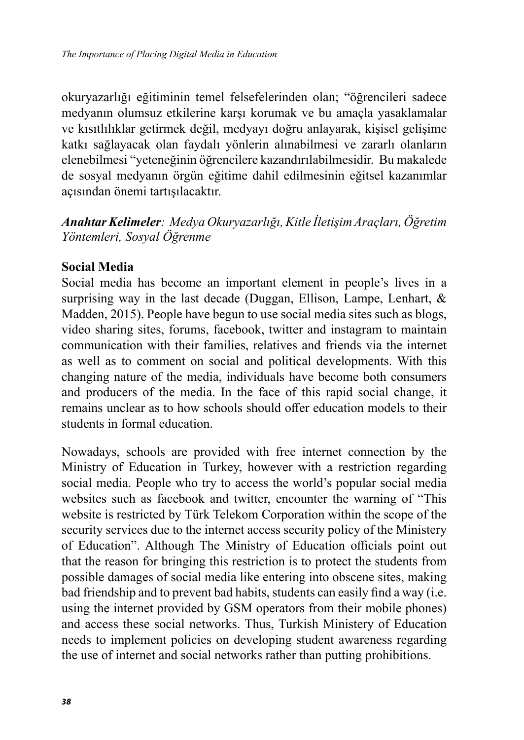okuryazarlığı eğitiminin temel felsefelerinden olan; "öğrencileri sadece medyanın olumsuz etkilerine karşı korumak ve bu amaçla yasaklamalar ve kısıtlılıklar getirmek değil, medyayı doğru anlayarak, kişisel gelişime katkı sağlayacak olan faydalı yönlerin alınabilmesi ve zararlı olanların elenebilmesi "yeteneğinin öğrencilere kazandırılabilmesidir. Bu makalede de sosyal medyanın örgün eğitime dahil edilmesinin eğitsel kazanımlar açısından önemi tartışılacaktır.

*Anahtar Kelimeler: Medya Okuryazarlığı, Kitle İletişim Araçları, Öğretim Yöntemleri, Sosyal Öğrenme*

#### **Social Media**

Social media has become an important element in people's lives in a surprising way in the last decade (Duggan, Ellison, Lampe, Lenhart, & Madden, 2015). People have begun to use social media sites such as blogs, video sharing sites, forums, facebook, twitter and instagram to maintain communication with their families, relatives and friends via the internet as well as to comment on social and political developments. With this changing nature of the media, individuals have become both consumers and producers of the media. In the face of this rapid social change, it remains unclear as to how schools should offer education models to their students in formal education.

Nowadays, schools are provided with free internet connection by the Ministry of Education in Turkey, however with a restriction regarding social media. People who try to access the world's popular social media websites such as facebook and twitter, encounter the warning of "This website is restricted by Türk Telekom Corporation within the scope of the security services due to the internet access security policy of the Ministery of Education". Although The Ministry of Education officials point out that the reason for bringing this restriction is to protect the students from possible damages of social media like entering into obscene sites, making bad friendship and to prevent bad habits, students can easily find a way (i.e. using the internet provided by GSM operators from their mobile phones) and access these social networks. Thus, Turkish Ministery of Education needs to implement policies on developing student awareness regarding the use of internet and social networks rather than putting prohibitions.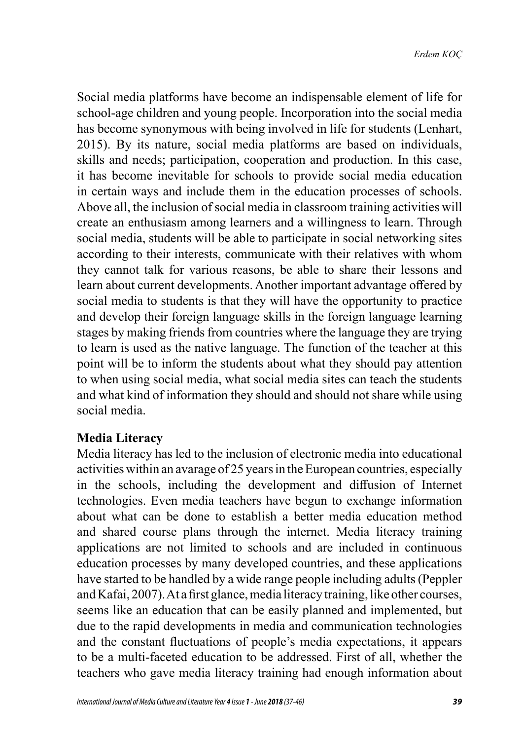Social media platforms have become an indispensable element of life for school-age children and young people. Incorporation into the social media has become synonymous with being involved in life for students (Lenhart, 2015). By its nature, social media platforms are based on individuals, skills and needs; participation, cooperation and production. In this case, it has become inevitable for schools to provide social media education in certain ways and include them in the education processes of schools. Above all, the inclusion of social media in classroom training activities will create an enthusiasm among learners and a willingness to learn. Through social media, students will be able to participate in social networking sites according to their interests, communicate with their relatives with whom they cannot talk for various reasons, be able to share their lessons and learn about current developments. Another important advantage offered by social media to students is that they will have the opportunity to practice and develop their foreign language skills in the foreign language learning stages by making friends from countries where the language they are trying to learn is used as the native language. The function of the teacher at this point will be to inform the students about what they should pay attention to when using social media, what social media sites can teach the students and what kind of information they should and should not share while using social media.

#### **Media Literacy**

Media literacy has led to the inclusion of electronic media into educational activities within an avarage of 25 years in the European countries, especially in the schools, including the development and diffusion of Internet technologies. Even media teachers have begun to exchange information about what can be done to establish a better media education method and shared course plans through the internet. Media literacy training applications are not limited to schools and are included in continuous education processes by many developed countries, and these applications have started to be handled by a wide range people including adults (Peppler and Kafai, 2007). At a first glance, media literacy training, like other courses, seems like an education that can be easily planned and implemented, but due to the rapid developments in media and communication technologies and the constant fluctuations of people's media expectations, it appears to be a multi-faceted education to be addressed. First of all, whether the teachers who gave media literacy training had enough information about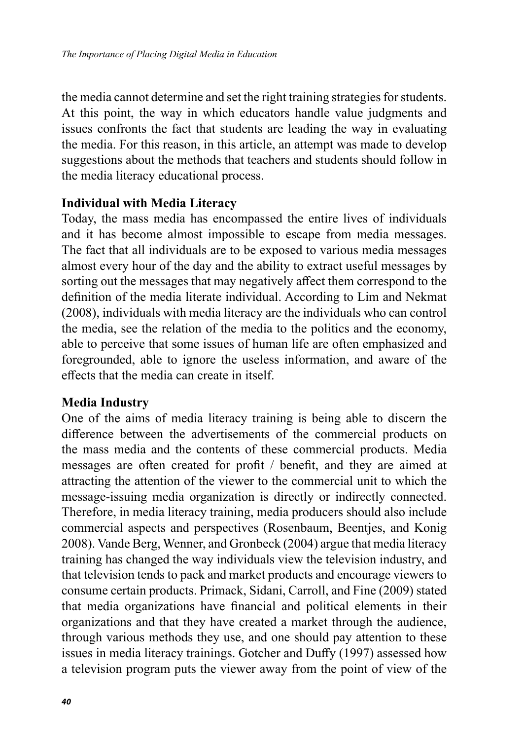the media cannot determine and set the right training strategies for students. At this point, the way in which educators handle value judgments and issues confronts the fact that students are leading the way in evaluating the media. For this reason, in this article, an attempt was made to develop suggestions about the methods that teachers and students should follow in the media literacy educational process.

#### **Individual with Media Literacy**

Today, the mass media has encompassed the entire lives of individuals and it has become almost impossible to escape from media messages. The fact that all individuals are to be exposed to various media messages almost every hour of the day and the ability to extract useful messages by sorting out the messages that may negatively affect them correspond to the definition of the media literate individual. According to Lim and Nekmat (2008), individuals with media literacy are the individuals who can control the media, see the relation of the media to the politics and the economy, able to perceive that some issues of human life are often emphasized and foregrounded, able to ignore the useless information, and aware of the effects that the media can create in itself.

#### **Media Industry**

One of the aims of media literacy training is being able to discern the difference between the advertisements of the commercial products on the mass media and the contents of these commercial products. Media messages are often created for profit / benefit, and they are aimed at attracting the attention of the viewer to the commercial unit to which the message-issuing media organization is directly or indirectly connected. Therefore, in media literacy training, media producers should also include commercial aspects and perspectives (Rosenbaum, Beentjes, and Konig 2008). Vande Berg, Wenner, and Gronbeck (2004) argue that media literacy training has changed the way individuals view the television industry, and that television tends to pack and market products and encourage viewers to consume certain products. Primack, Sidani, Carroll, and Fine (2009) stated that media organizations have financial and political elements in their organizations and that they have created a market through the audience, through various methods they use, and one should pay attention to these issues in media literacy trainings. Gotcher and Duffy (1997) assessed how a television program puts the viewer away from the point of view of the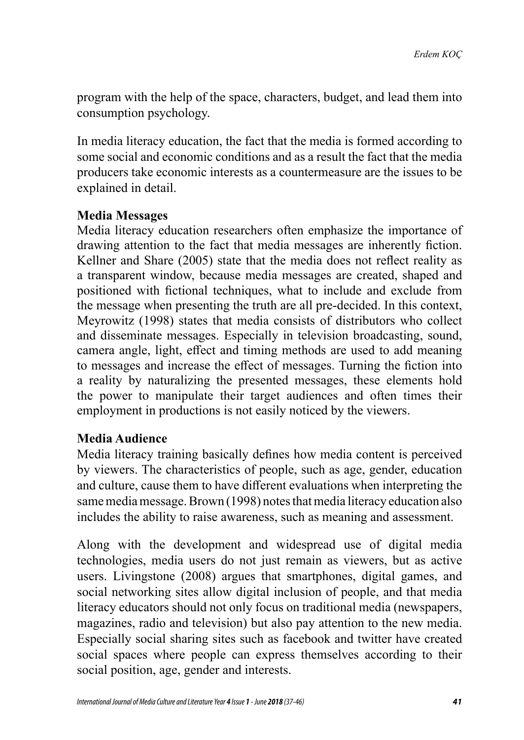program with the help of the space, characters, budget, and lead them into consumption psychology.

In media literacy education, the fact that the media is formed according to some social and economic conditions and as a result the fact that the media producers take economic interests as a countermeasure are the issues to be explained in detail.

#### **Media Messages**

Media literacy education researchers often emphasize the importance of drawing attention to the fact that media messages are inherently fiction. Kellner and Share (2005) state that the media does not reflect reality as a transparent window, because media messages are created, shaped and positioned with fictional techniques, what to include and exclude from the message when presenting the truth are all pre-decided. In this context, Meyrowitz (1998) states that media consists of distributors who collect and disseminate messages. Especially in television broadcasting, sound, camera angle, light, effect and timing methods are used to add meaning to messages and increase the effect of messages. Turning the fiction into a reality by naturalizing the presented messages, these elements hold the power to manipulate their target audiences and often times their employment in productions is not easily noticed by the viewers.

#### **Media Audience**

Media literacy training basically defines how media content is perceived by viewers. The characteristics of people, such as age, gender, education and culture, cause them to have different evaluations when interpreting the same media message. Brown (1998) notes that media literacy education also includes the ability to raise awareness, such as meaning and assessment.

Along with the development and widespread use of digital media technologies, media users do not just remain as viewers, but as active users. Livingstone (2008) argues that smartphones, digital games, and social networking sites allow digital inclusion of people, and that media literacy educators should not only focus on traditional media (newspapers, magazines, radio and television) but also pay attention to the new media. Especially social sharing sites such as facebook and twitter have created social spaces where people can express themselves according to their social position, age, gender and interests.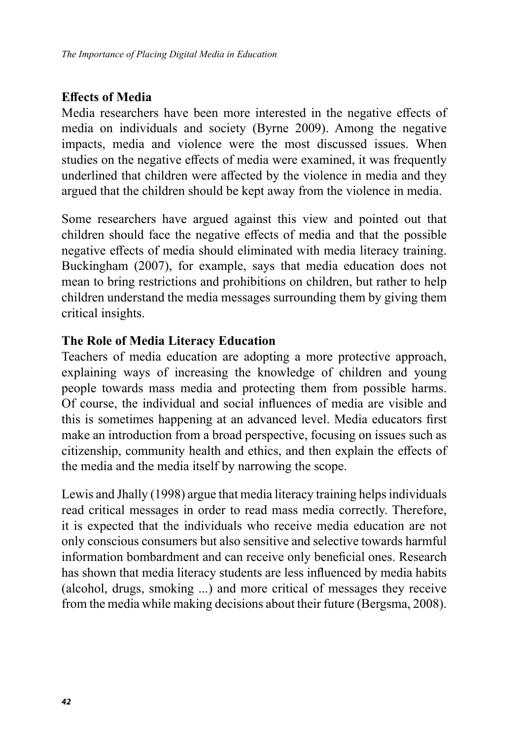#### **Effects of Media**

Media researchers have been more interested in the negative effects of media on individuals and society (Byrne 2009). Among the negative impacts, media and violence were the most discussed issues. When studies on the negative effects of media were examined, it was frequently underlined that children were affected by the violence in media and they argued that the children should be kept away from the violence in media.

Some researchers have argued against this view and pointed out that children should face the negative effects of media and that the possible negative effects of media should eliminated with media literacy training. Buckingham (2007), for example, says that media education does not mean to bring restrictions and prohibitions on children, but rather to help children understand the media messages surrounding them by giving them critical insights.

#### **The Role of Media Literacy Education**

Teachers of media education are adopting a more protective approach, explaining ways of increasing the knowledge of children and young people towards mass media and protecting them from possible harms. Of course, the individual and social influences of media are visible and this is sometimes happening at an advanced level. Media educators first make an introduction from a broad perspective, focusing on issues such as citizenship, community health and ethics, and then explain the effects of the media and the media itself by narrowing the scope.

Lewis and Jhally (1998) argue that media literacy training helps individuals read critical messages in order to read mass media correctly. Therefore, it is expected that the individuals who receive media education are not only conscious consumers but also sensitive and selective towards harmful information bombardment and can receive only beneficial ones. Research has shown that media literacy students are less influenced by media habits (alcohol, drugs, smoking ...) and more critical of messages they receive from the media while making decisions about their future (Bergsma, 2008).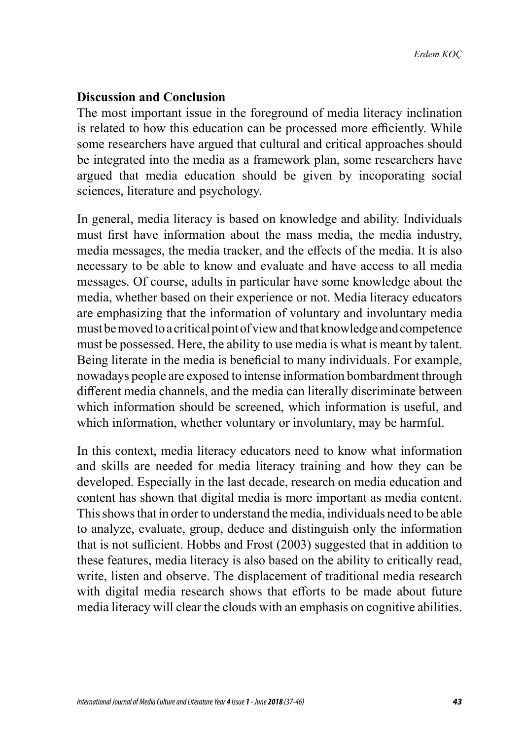#### **Discussion and Conclusion**

The most important issue in the foreground of media literacy inclination is related to how this education can be processed more efficiently. While some researchers have argued that cultural and critical approaches should be integrated into the media as a framework plan, some researchers have argued that media education should be given by incoporating social sciences, literature and psychology.

In general, media literacy is based on knowledge and ability. Individuals must first have information about the mass media, the media industry, media messages, the media tracker, and the effects of the media. It is also necessary to be able to know and evaluate and have access to all media messages. Of course, adults in particular have some knowledge about the media, whether based on their experience or not. Media literacy educators are emphasizing that the information of voluntary and involuntary media must be moved to a critical point of view and that knowledge and competence must be possessed. Here, the ability to use media is what is meant by talent. Being literate in the media is beneficial to many individuals. For example, nowadays people are exposed to intense information bombardment through different media channels, and the media can literally discriminate between which information should be screened, which information is useful, and which information, whether voluntary or involuntary, may be harmful.

In this context, media literacy educators need to know what information and skills are needed for media literacy training and how they can be developed. Especially in the last decade, research on media education and content has shown that digital media is more important as media content. This shows that in order to understand the media, individuals need to be able to analyze, evaluate, group, deduce and distinguish only the information that is not sufficient. Hobbs and Frost (2003) suggested that in addition to these features, media literacy is also based on the ability to critically read, write, listen and observe. The displacement of traditional media research with digital media research shows that efforts to be made about future media literacy will clear the clouds with an emphasis on cognitive abilities.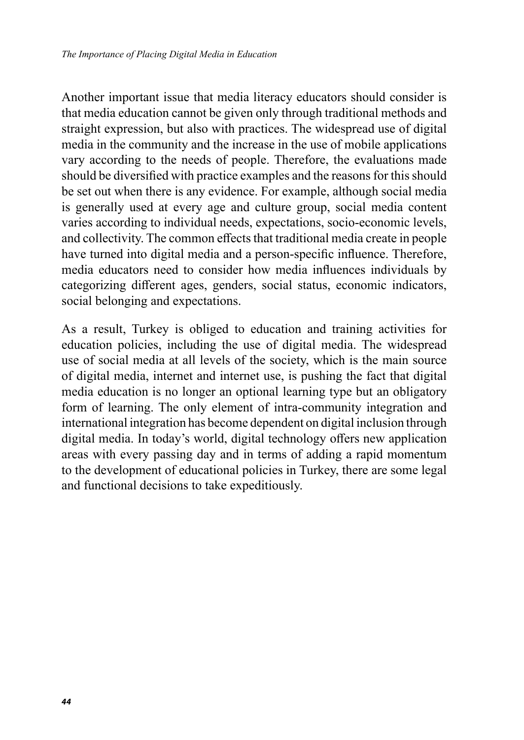Another important issue that media literacy educators should consider is that media education cannot be given only through traditional methods and straight expression, but also with practices. The widespread use of digital media in the community and the increase in the use of mobile applications vary according to the needs of people. Therefore, the evaluations made should be diversified with practice examples and the reasons for this should be set out when there is any evidence. For example, although social media is generally used at every age and culture group, social media content varies according to individual needs, expectations, socio-economic levels, and collectivity. The common effects that traditional media create in people have turned into digital media and a person-specific influence. Therefore, media educators need to consider how media influences individuals by categorizing different ages, genders, social status, economic indicators, social belonging and expectations.

As a result, Turkey is obliged to education and training activities for education policies, including the use of digital media. The widespread use of social media at all levels of the society, which is the main source of digital media, internet and internet use, is pushing the fact that digital media education is no longer an optional learning type but an obligatory form of learning. The only element of intra-community integration and international integration has become dependent on digital inclusion through digital media. In today's world, digital technology offers new application areas with every passing day and in terms of adding a rapid momentum to the development of educational policies in Turkey, there are some legal and functional decisions to take expeditiously.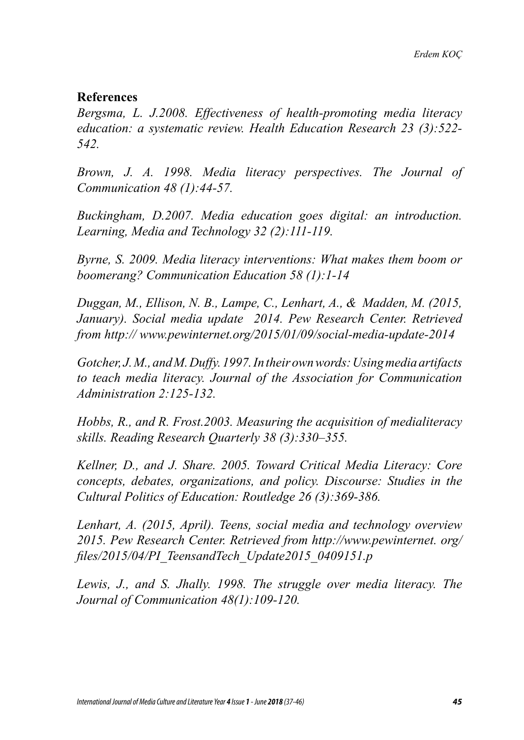#### **References**

*Bergsma, L. J.2008. Effectiveness of health-promoting media literacy education: a systematic review. Health Education Research 23 (3):522- 542.*

*Brown, J. A. 1998. Media literacy perspectives. The Journal of Communication 48 (1):44-57.*

*Buckingham, D.2007. Media education goes digital: an introduction. Learning, Media and Technology 32 (2):111-119.*

*Byrne, S. 2009. Media literacy interventions: What makes them boom or boomerang? Communication Education 58 (1):1-14*

*Duggan, M., Ellison, N. B., Lampe, C., Lenhart, A., & Madden, M. (2015, January). Social media update 2014. Pew Research Center. Retrieved from http:// www.pewinternet.org/2015/01/09/social-media-update-2014*

*Gotcher, J. M., and M. Duffy. 1997. In their own words: Using media artifacts to teach media literacy. Journal of the Association for Communication Administration 2:125-132.*

*Hobbs, R., and R. Frost.2003. Measuring the acquisition of medialiteracy skills. Reading Research Quarterly 38 (3):330–355.*

*Kellner, D., and J. Share. 2005. Toward Critical Media Literacy: Core concepts, debates, organizations, and policy. Discourse: Studies in the Cultural Politics of Education: Routledge 26 (3):369-386.*

*Lenhart, A. (2015, April). Teens, social media and technology overview 2015. Pew Research Center. Retrieved from http://www.pewinternet. org/ files/2015/04/PI\_TeensandTech\_Update2015\_0409151.p*

*Lewis, J., and S. Jhally. 1998. The struggle over media literacy. The Journal of Communication 48(1):109-120.*